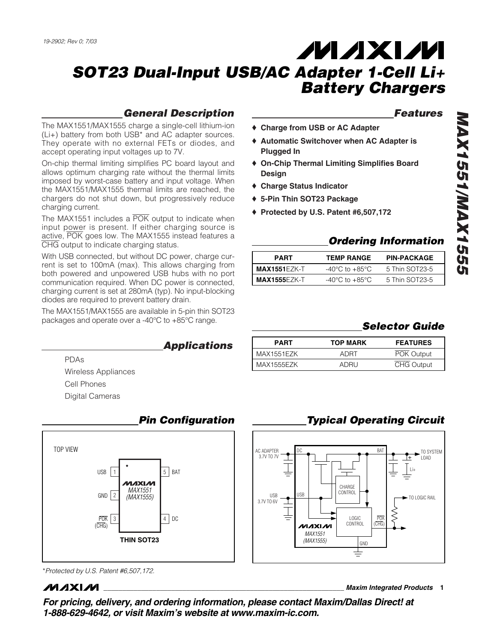## General Description

The MAX1551/MAX1555 charge a single-cell lithium-ion (Li+) battery from both USB\* and AC adapter sources. They operate with no external FETs or diodes, and accept operating input voltages up to 7V.

On-chip thermal limiting simplifies PC board layout and allows optimum charging rate without the thermal limits imposed by worst-case battery and input voltage. When the MAX1551/MAX1555 thermal limits are reached, the chargers do not shut down, but progressively reduce charging current.

The MAX1551 includes a POK output to indicate when input power is present. If either charging source is active, POK goes low. The MAX1555 instead features a CHG output to indicate charging status.

With USB connected, but without DC power, charge current is set to 100mA (max). This allows charging from both powered and unpowered USB hubs with no port communication required. When DC power is connected, charging current is set at 280mA (typ). No input-blocking diodes are required to prevent battery drain.

The MAX1551/MAX1555 are available in 5-pin thin SOT23 packages and operate over a -40°C to +85°C range.

### **Applications**

PDAs Wireless Appliances Cell Phones Digital Cameras



# Pin Configuration

#### \*Protected by U.S. Patent #6,507,172.

**MAXIM** 

### Features

- ♦ **Charge from USB or AC Adapter**
- ♦ **Automatic Switchover when AC Adapter is Plugged In**
- ♦ **On-Chip Thermal Limiting Simplifies Board Design**
- ♦ **Charge Status Indicator**
- ♦ **5-Pin Thin SOT23 Package**
- ♦ **Protected by U.S. Patent #6,507,172**

### Ordering Information

| <b>PART</b>         | <b>TEMP RANGE</b>                  | <b>PIN-PACKAGE</b> |
|---------------------|------------------------------------|--------------------|
| <b>MAX1551EZK-T</b> | $-40^{\circ}$ C to $+85^{\circ}$ C | 5 Thin SOT23-5     |
| <b>MAX1555EZK-T</b> | $-40^{\circ}$ C to $+85^{\circ}$ C | 5 Thin SOT23-5     |

## Selector Guide

| <b>PART</b>       | <b>TOP MARK</b> | <b>FEATURES</b>   |  |  |
|-------------------|-----------------|-------------------|--|--|
| MAX1551EZK        | ADRT            | POK Output        |  |  |
| <b>MAX1555EZK</b> | ADRU            | <b>CHG Output</b> |  |  |

## Typical Operating Circuit



**\_\_\_\_\_\_\_\_\_\_\_\_\_\_\_\_\_\_\_\_\_\_\_\_\_\_\_\_\_\_\_\_\_\_\_\_\_\_\_\_\_\_\_\_\_\_\_\_\_\_\_\_\_\_\_\_\_\_\_\_\_\_\_\_ Maxim Integrated Products 1**

**For pricing, delivery, and ordering information, please contact Maxim/Dallas Direct! at 1-888-629-4642, or visit Maxim's website at www.maxim-ic.com.**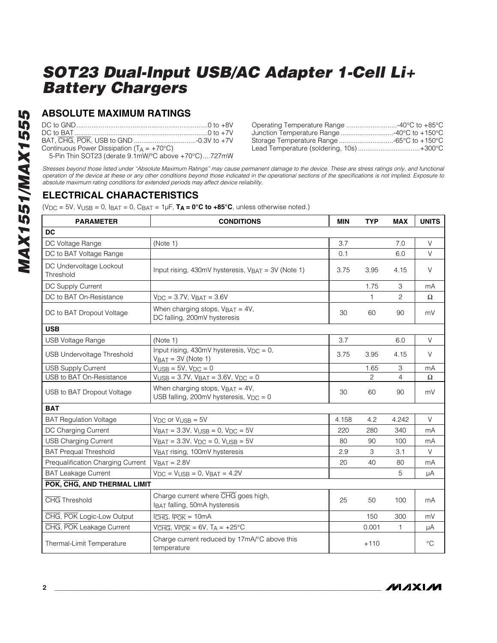## **ABSOLUTE MAXIMUM RATINGS**

| Continuous Power Dissipation ( $T_A = +70^{\circ}C$ ) |  |
|-------------------------------------------------------|--|
| 5-Pin Thin SOT23 (derate 9.1mW/°C above +70°C)727mW   |  |

| Operating Temperature Range 40°C to +85°C |  |
|-------------------------------------------|--|
| Junction Temperature Range 40°C to +150°C |  |
| Storage Temperature Range -65°C to +150°C |  |
| Lead Temperature (soldering, 10s)+300°C   |  |

Stresses beyond those listed under "Absolute Maximum Ratings" may cause permanent damage to the device. These are stress ratings only, and functional operation of the device at these or any other conditions beyond those indicated in the operational sections of the specifications is not implied. Exposure to absolute maximum rating conditions for extended periods may affect device reliability.

## **ELECTRICAL CHARACTERISTICS**

 $(V_{DC} = 5V$ ,  $V_{USE} = 0$ ,  $I_{BAT} = 0$ ,  $C_{BAT} = 1 \mu F$ ,  $T_A = 0^\circ C$  to  $+85^\circ C$ , unless otherwise noted.)

| <b>PARAMETER</b><br><b>CONDITIONS</b>                                                              |                                                                                      | <b>MIN</b> | <b>TYP</b>      | <b>MAX</b>     | <b>UNITS</b> |
|----------------------------------------------------------------------------------------------------|--------------------------------------------------------------------------------------|------------|-----------------|----------------|--------------|
| <b>DC</b>                                                                                          |                                                                                      |            |                 |                |              |
| DC Voltage Range                                                                                   | (Note 1)                                                                             | 3.7        |                 | 7.0            | $\vee$       |
| DC to BAT Voltage Range                                                                            |                                                                                      | 0.1        |                 | 6.0            | $\vee$       |
| DC Undervoltage Lockout<br>Threshold                                                               | Input rising, 430mV hysteresis, V <sub>BAT</sub> = 3V (Note 1)                       | 3.75       | 3.95            | 4.15           | $\vee$       |
| DC Supply Current                                                                                  |                                                                                      |            | 1.75            | 3              | mA           |
| DC to BAT On-Resistance                                                                            | $V_{\text{DC}} = 3.7V$ , $V_{\text{BAT}} = 3.6V$                                     |            | 1               | 2              | Ω            |
| DC to BAT Dropout Voltage                                                                          | When charging stops, $V_{BAT} = 4V$ ,<br>DC falling, 200mV hysteresis                | 30         | 60              | 90             | mV           |
| <b>USB</b>                                                                                         |                                                                                      |            |                 |                |              |
| USB Voltage Range                                                                                  | (Note 1)                                                                             | 3.7        |                 | 6.0            | $\vee$       |
| <b>USB Undervoltage Threshold</b>                                                                  | Input rising, 430mV hysteresis, $V_{DC} = 0$ ,<br>3.75<br>$V_{BAT} = 3V$ (Note 1)    |            | 3.95            | 4.15           | $\vee$       |
| <b>USB Supply Current</b>                                                                          | $V_{\text{USB}} = 5V$ , $V_{\text{DC}} = 0$                                          |            | 1.65            | 3              | mA           |
| USB to BAT On-Resistance                                                                           | $V_{\text{USB}} = 3.7V$ , $V_{\text{BAT}} = 3.6V$ , $V_{\text{DC}} = 0$              |            | 2               | $\overline{4}$ | Ω            |
| USB to BAT Dropout Voltage                                                                         | When charging stops, $V_{BAT} = 4V$ ,<br>USB falling, 200mV hysteresis, $V_{DC} = 0$ |            | 60              | 90             | mV           |
| <b>BAT</b>                                                                                         |                                                                                      |            |                 |                |              |
| <b>BAT Regulation Voltage</b>                                                                      | $V_{DC}$ or $V_{USE} = 5V$                                                           | 4.158      | 4.2             | 4.242          | V            |
| DC Charging Current                                                                                | $V_{BAT} = 3.3V$ , $V_{USB} = 0$ , $V_{DC} = 5V$                                     | 220        | 280             | 340            | mA           |
| <b>USB Charging Current</b>                                                                        | $V_{BAT} = 3.3V$ , $V_{DC} = 0$ , $V_{USB} = 5V$                                     | 80         | 90              | 100            | mA           |
| <b>BAT Prequal Threshold</b>                                                                       | VBAT rising, 100mV hysteresis                                                        | 2.9        | 3               | 3.1            | $\vee$       |
| Prequalification Charging Current                                                                  | $VBAT = 2.8V$                                                                        | 20         | 40              | 80             | mA           |
| <b>BAT Leakage Current</b>                                                                         | $V_{DC}$ = $V_{USB}$ = 0, $V_{BAT}$ = 4.2V                                           |            |                 | 5              | μA           |
| POK, CHG, AND THERMAL LIMIT                                                                        |                                                                                      |            |                 |                |              |
| <b>CHG</b> Threshold                                                                               | Charge current where CHG goes high,<br>IBAT falling, 50mA hysteresis                 | 25         | 50              | 100            | mA           |
| CHG, POK Logic-Low Output                                                                          | $l$ $\overline{CHG}$ , $l$ $\overline{POK}$ = 10mA                                   |            | 150             | 300            | mV           |
| CHG, POK Leakage Current                                                                           | $VCHG$ , $VPOK = 6V$ , $T_A = +25°C$                                                 |            | 0.001           | $\mathbf{1}$   | μA           |
| Charge current reduced by 17mA/°C above this<br>Thermal-Limit Temperature<br>$+110$<br>temperature |                                                                                      |            | $\rm ^{\circ}C$ |                |              |

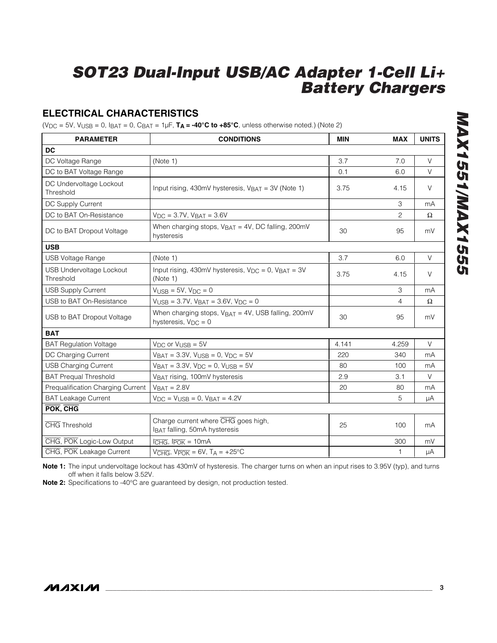## **ELECTRICAL CHARACTERISTICS**

 $(V_{DC} = 5V, V_{USB} = 0, I_{BAT} = 0, C_{BAT} = 1 \mu F, T_A = -40^\circ C \text{ to } +85^\circ C$ , unless otherwise noted.) (Note 2)

| <b>PARAMETER</b>                             | <b>CONDITIONS</b>                                                                    | <b>MIN</b> | <b>MAX</b>     | <b>UNITS</b> |
|----------------------------------------------|--------------------------------------------------------------------------------------|------------|----------------|--------------|
| <b>DC</b>                                    |                                                                                      |            |                |              |
| DC Voltage Range                             | (Note 1)                                                                             | 3.7        | 7.0            | $\vee$       |
| DC to BAT Voltage Range                      |                                                                                      | 0.1        | 6.0            | $\vee$       |
| DC Undervoltage Lockout<br>Threshold         | Input rising, 430mV hysteresis, $V_{BAT} = 3V$ (Note 1)                              | 3.75       | 4.15           | $\vee$       |
| DC Supply Current                            |                                                                                      |            | З              | mA           |
| DC to BAT On-Resistance                      | $V_{DC} = 3.7V$ , $V_{BAT} = 3.6V$                                                   |            | $\overline{2}$ | Ω            |
| DC to BAT Dropout Voltage                    | When charging stops, VBAT = 4V, DC falling, 200mV<br>hysteresis                      | 30         | 95             | mV           |
| <b>USB</b>                                   |                                                                                      |            |                |              |
| <b>USB Voltage Range</b>                     | (Note 1)                                                                             | 3.7        | 6.0            | $\vee$       |
| <b>USB Undervoltage Lockout</b><br>Threshold | Input rising, 430mV hysteresis, $V_{DC} = 0$ , $V_{BAT} = 3V$<br>(Note 1)            | 3.75       | 4.15           | $\vee$       |
| <b>USB Supply Current</b>                    | $V_{\text{USB}} = 5V$ , $V_{\text{DC}} = 0$                                          |            | 3              | mA           |
| USB to BAT On-Resistance                     | $V_{\text{USB}} = 3.7V$ , $V_{\text{BAT}} = 3.6V$ , $V_{\text{DC}} = 0$              |            | $\overline{4}$ | $\Omega$     |
| USB to BAT Dropout Voltage                   | When charging stops, $V_{BAT} = 4V$ , USB falling, 200mV<br>hysteresis, $V_{DC} = 0$ | 30         | 95             | mV           |
| <b>BAT</b>                                   |                                                                                      |            |                |              |
| <b>BAT Regulation Voltage</b>                | $V_{DC}$ or $V_{USE} = 5V$                                                           | 4.141      | 4.259          | $\vee$       |
| DC Charging Current                          | $V_{BAT} = 3.3V$ , $V_{USER} = 0$ , $V_{DC} = 5V$                                    | 220        | 340            | mA           |
| <b>USB Charging Current</b>                  | $V_{BAT} = 3.3V$ , $V_{DC} = 0$ , $V_{USB} = 5V$                                     | 80         | 100            | mA           |
| <b>BAT Prequal Threshold</b>                 | VBAT rising, 100mV hysteresis                                                        | 2.9        | 3.1            | V            |
| Prequalification Charging Current            | $VBAT = 2.8V$                                                                        | 20         | 80             | mA           |
| <b>BAT Leakage Current</b>                   | $V_{DC}$ = $V_{USB}$ = 0, $V_{BAT}$ = 4.2V                                           |            | 5              | μA           |
| POK, CHG                                     |                                                                                      |            |                |              |
| <b>CHG</b> Threshold                         | Charge current where CHG goes high,<br>IBAT falling, 50mA hysteresis                 | 25         | 100            | mA           |
| CHG, POK Logic-Low Output                    | $l$ $\overline{CHG}$ , $l$ $\overline{POK}$ = 10 $mA$                                |            | 300            | mV           |
| CHG, POK Leakage Current                     | $VCHG$ , $VPOK = 6V$ , $TA = +25°C$                                                  |            | 1              | μA           |

**Note 1:** The input undervoltage lockout has 430mV of hysteresis. The charger turns on when an input rises to 3.95V (typ), and turns off when it falls below 3.52V.

**Note 2:** Specifications to -40°C are guaranteed by design, not production tested.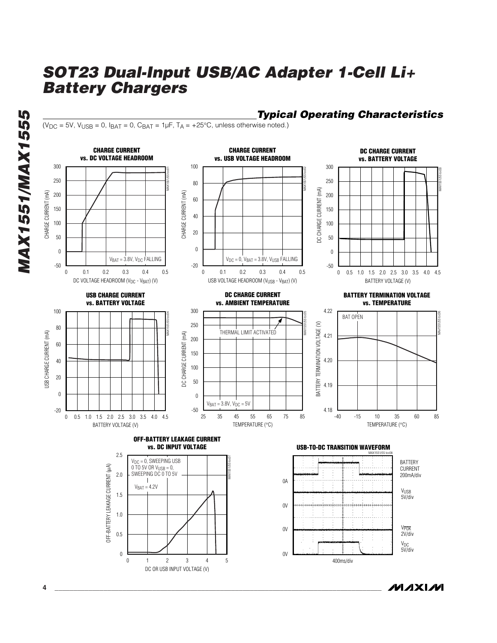Typical Operating Characteristics

 $(V_{DC} = 5V$ ,  $V_{USB} = 0$ ,  $I_{BAT} = 0$ ,  $C_{BAT} = 1 \mu F$ ,  $T_A = +25°C$ , unless otherwise noted.)



*IVIXIM*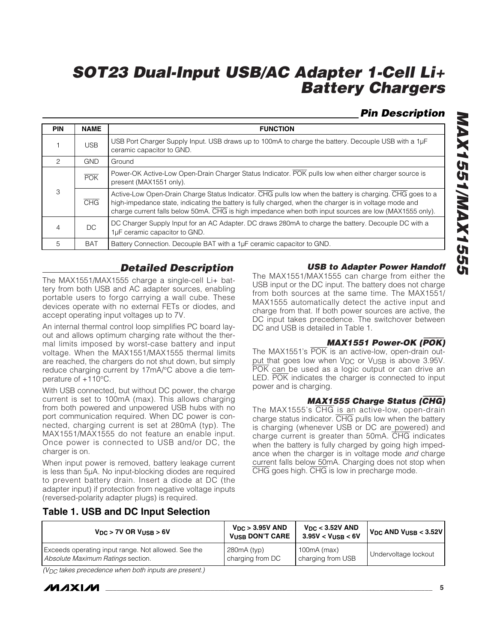## Pin Description

| <b>PIN</b>    | <b>NAME</b> | <b>FUNCTION</b>                                                                                                                                                                                                                                                                                                              |
|---------------|-------------|------------------------------------------------------------------------------------------------------------------------------------------------------------------------------------------------------------------------------------------------------------------------------------------------------------------------------|
|               | <b>USB</b>  | USB Port Charger Supply Input. USB draws up to 100mA to charge the battery. Decouple USB with a 1µF<br>ceramic capacitor to GND.                                                                                                                                                                                             |
| $\mathcal{P}$ | <b>GND</b>  | Ground                                                                                                                                                                                                                                                                                                                       |
|               | <b>POK</b>  | Power-OK Active-Low Open-Drain Charger Status Indicator. POK pulls low when either charger source is<br>present (MAX1551 only).                                                                                                                                                                                              |
| 3             | CHG         | Active-Low Open-Drain Charge Status Indicator. CHG pulls low when the battery is charging. CHG goes to a<br>high-impedance state, indicating the battery is fully charged, when the charger is in voltage mode and<br>charge current falls below 50mA. CHG is high impedance when both input sources are low (MAX1555 only). |
| 4             | DC.         | DC Charger Supply Input for an AC Adapter. DC draws 280mA to charge the battery. Decouple DC with a<br>1µF ceramic capacitor to GND.                                                                                                                                                                                         |
| 5             | <b>BAT</b>  | Battery Connection. Decouple BAT with a 1µF ceramic capacitor to GND.                                                                                                                                                                                                                                                        |

## Detailed Description

The MAX1551/MAX1555 charge a single-cell Li+ battery from both USB and AC adapter sources, enabling portable users to forgo carrying a wall cube. These devices operate with no external FETs or diodes, and accept operating input voltages up to 7V.

An internal thermal control loop simplifies PC board layout and allows optimum charging rate without the thermal limits imposed by worst-case battery and input voltage. When the MAX1551/MAX1555 thermal limits are reached, the chargers do not shut down, but simply reduce charging current by 17mA/°C above a die temperature of +110°C.

With USB connected, but without DC power, the charge current is set to 100mA (max). This allows charging from both powered and unpowered USB hubs with no port communication required. When DC power is connected, charging current is set at 280mA (typ). The MAX1551/MAX1555 do not feature an enable input. Once power is connected to USB and/or DC, the charger is on.

When input power is removed, battery leakage current is less than 5µA. No input-blocking diodes are required to prevent battery drain. Insert a diode at DC (the adapter input) if protection from negative voltage inputs (reversed-polarity adapter plugs) is required.

#### USB to Adapter Power Handoff

The MAX1551/MAX1555 can charge from either the USB input or the DC input. The battery does not charge from both sources at the same time. The MAX1551/ MAX1555 automatically detect the active input and charge from that. If both power sources are active, the DC input takes precedence. The switchover between DC and USB is detailed in Table 1.

#### MAX1551 Power-OK (POK)

The MAX1551's POK is an active-low, open-drain output that goes low when V<sub>DC</sub> or V<sub>USB</sub> is above 3.95V. POK can be used as a logic output or can drive an LED. POK indicates the charger is connected to input power and is charging.

#### MAX1555 Charge Status (CHG)

The MAX1555's CHG is an active-low, open-drain charge status indicator. CHG pulls low when the battery is charging (whenever USB or DC are powered) and charge current is greater than 50mA. CHG indicates when the battery is fully charged by going high impedance when the charger is in voltage mode and charge current falls below 50mA. Charging does not stop when CHG goes high. CHG is low in precharge mode.

### **Table 1. USB and DC Input Selection**

| $V_{DC}$ > 7V OR $V_{USE}$ > 6V                     | $V_{DC}$ > 3.95V AND<br><b>VUSB DON'T CARE</b> | $V_{DC}$ < 3.52V AND<br>3.95V < V <sub>USE</sub> < 6V | $V_{DC}$ AND $V_{USE}$ < 3.52V |
|-----------------------------------------------------|------------------------------------------------|-------------------------------------------------------|--------------------------------|
| Exceeds operating input range. Not allowed. See the | 280mA (typ)                                    | $100mA$ (max)                                         | Undervoltage lockout           |
| Absolute Maximum Ratings section.                   | charging from DC                               | charging from USB                                     |                                |

 $(V_{DC})$  takes precedence when both inputs are present.)

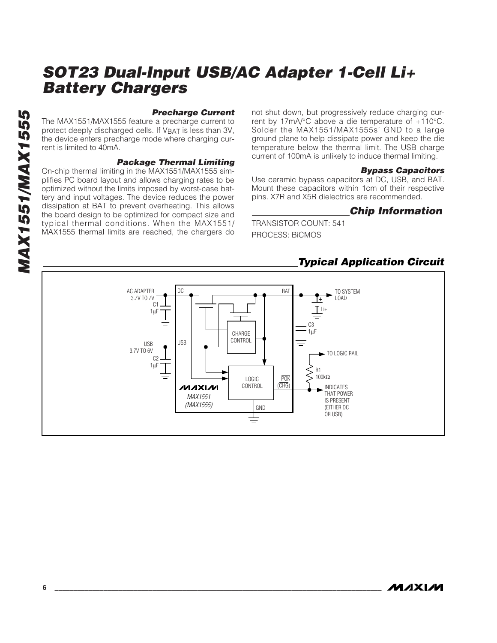#### **Precharge Current**

The MAX1551/MAX1555 feature a precharge current to protect deeply discharged cells. If V<sub>BAT</sub> is less than 3V, the device enters precharge mode where charging current is limited to 40mA.

#### Package Thermal Limiting

On-chip thermal limiting in the MAX1551/MAX1555 simplifies PC board layout and allows charging rates to be optimized without the limits imposed by worst-case battery and input voltages. The device reduces the power dissipation at BAT to prevent overheating. This allows the board design to be optimized for compact size and typical thermal conditions. When the MAX1551/ MAX1555 thermal limits are reached, the chargers do not shut down, but progressively reduce charging current by 17mA/°C above a die temperature of +110°C. Solder the MAX1551/MAX1555s' GND to a large ground plane to help dissipate power and keep the die temperature below the thermal limit. The USB charge current of 100mA is unlikely to induce thermal limiting.

#### Bypass Capacitors

Use ceramic bypass capacitors at DC, USB, and BAT. Mount these capacitors within 1cm of their respective pins. X7R and X5R dielectrics are recommended.

#### Chip Information

TRANSISTOR COUNT: 541 PROCESS: BiCMOS

### Typical Application Circuit

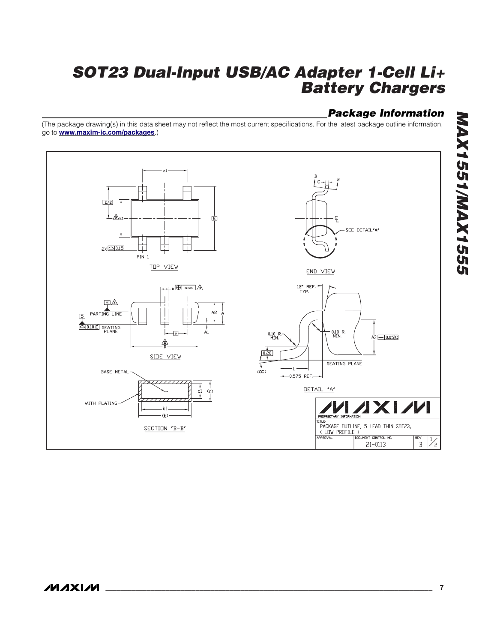## Package Information

(The package drawing(s) in this data sheet may not reflect the most current specifications. For the latest package outline information, go to **[www.maxim-ic.com/packages](http://www.maxim-ic.com/packages)**.)